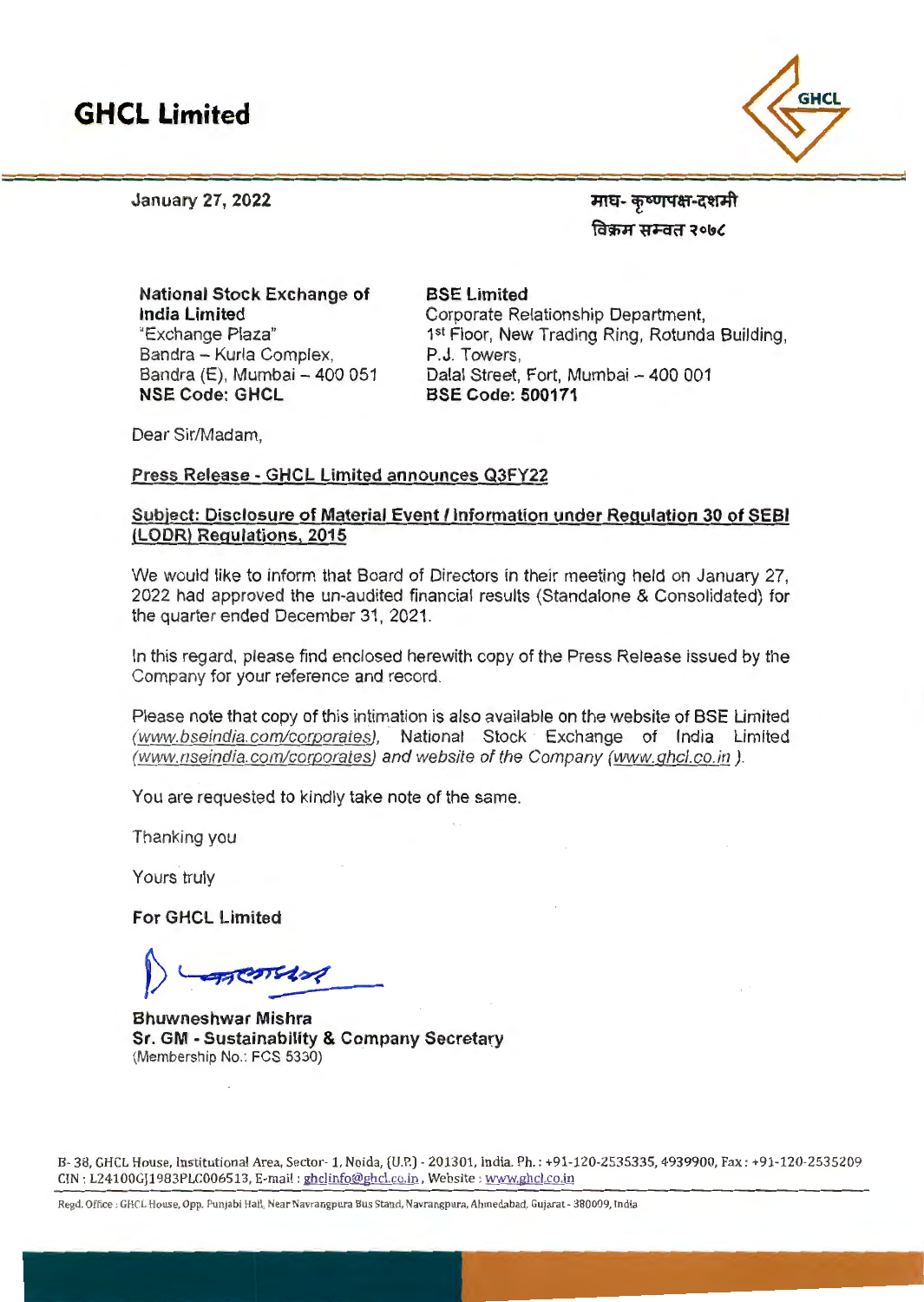

January 27, 2022

माघ- कृष्णपक्ष-दशमी विक्रम सम्वत २०७८

National Stock Exchange of India Limited "Exchange Plaza" Bandra – Kurla Complex, Bandra (E), Mumbai - 400 051 NSE Code: GHCL

BSE Limited Corporate Relationship Department, 1<sup>st</sup> Floor, New Trading Ring, Rotunda Building, P.J. Towers, Dalal Street, Fort, Mumbai - 400 001 BSE Code: 500171

Dear Sir/Madam,

#### Press Release - GHCL Limited announces Q3FY22

#### Subject: Disclosure of Material Event/ Information under Regulation 30 of SEBI (LODR) Regulations, 2015

We would like to inform that Board of Directors in their meeting held on January 27, 2022 had approved the un-audited financial results (Standalone & Consolidated) for the quarter ended December 31, 2021.

In this regard, please find enclosed herewith copy of the Press Release issued by the Company for your reference and record.

Please note that copy of this intimation is also available on the website of BSE Limited (www. bseindia.com/corporates), National Stock Exchange of India Limited (www. nseindia.com/corporates) and website of the Company (www.ghcl.co.in ).

You are requested to kindly take note of the same.

Thanking you

Yours truly

For GHCL Limited

 $\frac{1}{\sqrt{2\pi}}$ 

Bhuwneshwar Mishra Sr. GM - Sustainability & Company Secretary (Membership No.: FCS 5330)

B- 38, GHCL House, Institutional Area, Sector-1, Naida, (U.P.) - 201301, India. Ph.: +91-120-2535335, 4939900, Fax: +91-120-2535209 CIN: L24100GJ1983PLC006513, E-mail : ghclinfo@ghcl.co.in , Website : www.ghcl.co.in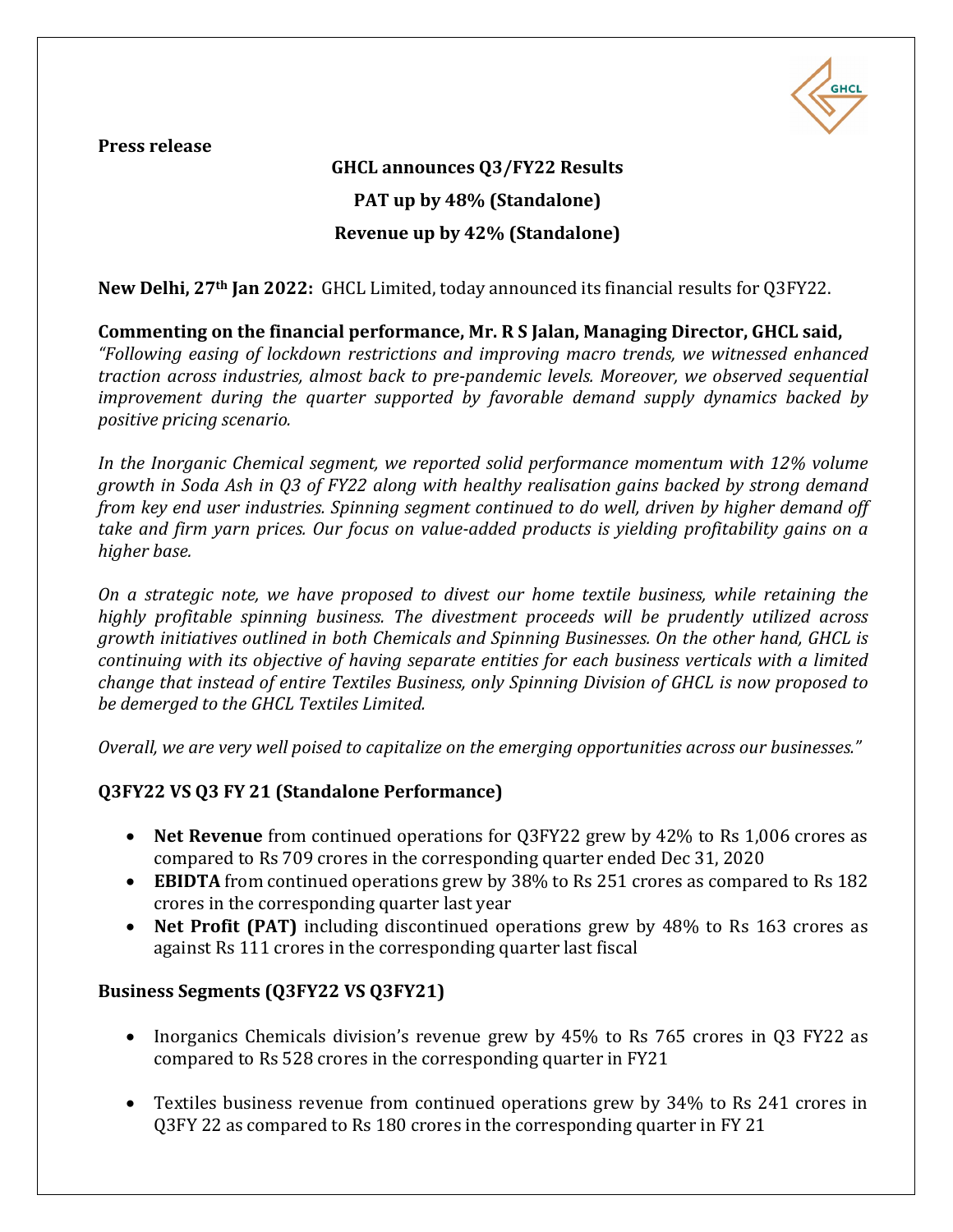

## **Press release**

# **GHCL announces Q3/FY22 Results PAT up by 48% (Standalone) Revenue up by 42% (Standalone)**

**New Delhi, 27th Jan 2022:** GHCL Limited, today announced its financial results for Q3FY22.

**Commenting on the financial performance, Mr. R S Jalan, Managing Director, GHCL said,**  *"Following easing of lockdown restrictions and improving macro trends, we witnessed enhanced traction across industries, almost back to pre-pandemic levels. Moreover, we observed sequential improvement during the quarter supported by favorable demand supply dynamics backed by positive pricing scenario.* 

*In the Inorganic Chemical segment, we reported solid performance momentum with 12% volume growth in Soda Ash in Q3 of FY22 along with healthy realisation gains backed by strong demand from key end user industries. Spinning segment continued to do well, driven by higher demand off take and firm yarn prices. Our focus on value-added products is yielding profitability gains on a higher base.*

*On a strategic note, we have proposed to divest our home textile business, while retaining the highly profitable spinning business. The divestment proceeds will be prudently utilized across growth initiatives outlined in both Chemicals and Spinning Businesses. On the other hand, GHCL is continuing with its objective of having separate entities for each business verticals with a limited change that instead of entire Textiles Business, only Spinning Division of GHCL is now proposed to be demerged to the GHCL Textiles Limited.*

*Overall, we are very well poised to capitalize on the emerging opportunities across our businesses."*

# **Q3FY22 VS Q3 FY 21 (Standalone Performance)**

- **Net Revenue** from continued operations for Q3FY22 grew by 42% to Rs 1,006 crores as compared to Rs 709 crores in the corresponding quarter ended Dec 31, 2020
- **EBIDTA** from continued operations grew by 38% to Rs 251 crores as compared to Rs 182 crores in the corresponding quarter last year
- **Net Profit (PAT)** including discontinued operations grew by 48% to Rs 163 crores as against Rs 111 crores in the corresponding quarter last fiscal

# **Business Segments (Q3FY22 VS Q3FY21)**

- Inorganics Chemicals division's revenue grew by 45% to Rs 765 crores in Q3 FY22 as compared to Rs 528 crores in the corresponding quarter in FY21
- Textiles business revenue from continued operations grew by 34% to Rs 241 crores in Q3FY 22 as compared to Rs 180 crores in the corresponding quarter in FY 21